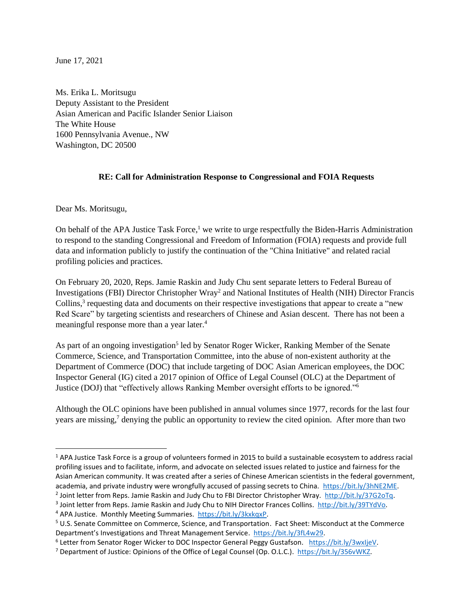June 17, 2021

Ms. Erika L. Moritsugu Deputy Assistant to the President Asian American and Pacific Islander Senior Liaison The White House 1600 Pennsylvania Avenue., NW Washington, DC 20500

## **RE: Call for Administration Response to Congressional and FOIA Requests**

Dear Ms. Moritsugu,

On behalf of the APA Justice Task Force,<sup>1</sup> we write to urge respectfully the Biden-Harris Administration to respond to the standing Congressional and Freedom of Information (FOIA) requests and provide full data and information publicly to justify the continuation of the "China Initiative" and related racial profiling policies and practices.

On February 20, 2020, Reps. Jamie Raskin and Judy Chu sent separate letters to Federal Bureau of Investigations (FBI) Director Christopher Wray<sup>2</sup> and National Institutes of Health (NIH) Director Francis Collins,<sup>3</sup> requesting data and documents on their respective investigations that appear to create a "new Red Scare" by targeting scientists and researchers of Chinese and Asian descent. There has not been a meaningful response more than a year later.<sup>4</sup>

As part of an ongoing investigation<sup>5</sup> led by Senator Roger Wicker, Ranking Member of the Senate Commerce, Science, and Transportation Committee, into the abuse of non-existent authority at the Department of Commerce (DOC) that include targeting of DOC Asian American employees, the DOC Inspector General (IG) cited a 2017 opinion of Office of Legal Counsel (OLC) at the Department of Justice (DOJ) that "effectively allows Ranking Member oversight efforts to be ignored."<sup>6</sup>

Although the OLC opinions have been published in annual volumes since 1977, records for the last four years are missing,<sup>7</sup> denying the public an opportunity to review the cited opinion. After more than two

 $1$  APA Justice Task Force is a group of volunteers formed in 2015 to build a sustainable ecosystem to address racial profiling issues and to facilitate, inform, and advocate on selected issues related to justice and fairness for the Asian American community. It was created after a series of Chinese American scientists in the federal government, academia, and private industry were wrongfully accused of passing secrets to China. [https://bit.ly/3hNE2ME.](https://bit.ly/3hNE2ME) <sup>2</sup> Joint letter from Reps. Jamie Raskin and Judy Chu to FBI Director Christopher Wray. [http://bit.ly/37G2oTq.](http://bit.ly/37G2oTq)

<sup>&</sup>lt;sup>3</sup> Joint letter from Reps. Jamie Raskin and Judy Chu to NIH Director Frances Collins. http://bit.ly/39TYdVo.

<sup>4</sup> APA Justice. Monthly Meeting Summaries. [https://bit.ly/3kxkqxP.](https://bit.ly/3kxkqxP)

<sup>5</sup> U.S. Senate Committee on Commerce, Science, and Transportation. Fact Sheet: Misconduct at the Commerce Department's Investigations and Threat Management Service. [https://bit.ly/3fL4w29.](https://bit.ly/3fL4w29)

<sup>&</sup>lt;sup>6</sup> Letter from Senator Roger Wicker to DOC Inspector General Peggy Gustafson. [https://bit.ly/3wxIjeV.](https://bit.ly/3wxIjeV)

<sup>&</sup>lt;sup>7</sup> Department of Justice: Opinions of the Office of Legal Counsel (Op. O.L.C.). https://bit.ly/356vWKZ.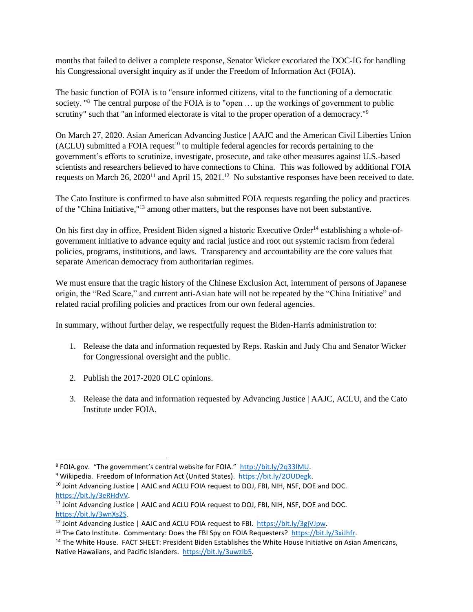months that failed to deliver a complete response, Senator Wicker excoriated the DOC-IG for handling his Congressional oversight inquiry as if under the Freedom of Information Act (FOIA).

The basic function of FOIA is to "ensure informed citizens, vital to the functioning of a democratic society. "<sup>8</sup> The central purpose of the FOIA is to "open ... up the workings of government to public scrutiny" such that "an informed electorate is vital to the proper operation of a democracy."<sup>9</sup>

On March 27, 2020. Asian American Advancing Justice | AAJC and the American Civil Liberties Union  $(ACLU)$  submitted a FOIA request<sup>10</sup> to multiple federal agencies for records pertaining to the government's efforts to scrutinize, investigate, prosecute, and take other measures against U.S.-based scientists and researchers believed to have connections to China. This was followed by additional FOIA requests on March  $26$ ,  $2020^{11}$  and April 15,  $2021$ .<sup>12</sup> No substantive responses have been received to date.

The Cato Institute is confirmed to have also submitted FOIA requests regarding the policy and practices of the "China Initiative,"<sup>13</sup> among other matters, but the responses have not been substantive.

On his first day in office, President Biden signed a historic Executive Order<sup>14</sup> establishing a whole-ofgovernment initiative to advance equity and racial justice and root out systemic racism from federal policies, programs, institutions, and laws. Transparency and accountability are the core values that separate American democracy from authoritarian regimes.

We must ensure that the tragic history of the Chinese Exclusion Act, internment of persons of Japanese origin, the "Red Scare," and current anti-Asian hate will not be repeated by the "China Initiative" and related racial profiling policies and practices from our own federal agencies.

In summary, without further delay, we respectfully request the Biden-Harris administration to:

- 1. Release the data and information requested by Reps. Raskin and Judy Chu and Senator Wicker for Congressional oversight and the public.
- 2. Publish the 2017-2020 OLC opinions.
- 3. Release the data and information requested by Advancing Justice | AAJC, ACLU, and the Cato Institute under FOIA.

<sup>&</sup>lt;sup>8</sup> FOIA.gov. "The government's central website for FOIA." http://bit.ly/2q33IMU.

<sup>9</sup> Wikipedia. Freedom of Information Act (United States). [https://bit.ly/2OUDegk.](https://bit.ly/2OUDegk)

<sup>&</sup>lt;sup>10</sup> Joint Advancing Justice | AAJC and ACLU FOIA request to DOJ, FBI, NIH, NSF, DOE and DOC. [https://bit.ly/3eRHdVV.](https://bit.ly/3eRHdVV)

<sup>&</sup>lt;sup>11</sup> Joint Advancing Justice | AAJC and ACLU FOIA request to DOJ, FBI, NIH, NSF, DOE and DOC. [https://bit.ly/3wnXs2S.](https://bit.ly/3wnXs2S)

<sup>12</sup> Joint Advancing Justice | AAJC and ACLU FOIA request to FBI. [https://bit.ly/3gjVJpw.](https://bit.ly/3gjVJpw)

<sup>&</sup>lt;sup>13</sup> The Cato Institute. Commentary: Does the FBI Spy on FOIA Requesters? [https://bit.ly/3xiJhfr.](https://bit.ly/3xiJhfr)

<sup>&</sup>lt;sup>14</sup> The White House. FACT SHEET: President Biden Establishes the White House Initiative on Asian Americans, Native Hawaiians, and Pacific Islanders. [https://bit.ly/3uwzIb5.](https://bit.ly/3uwzIb5)